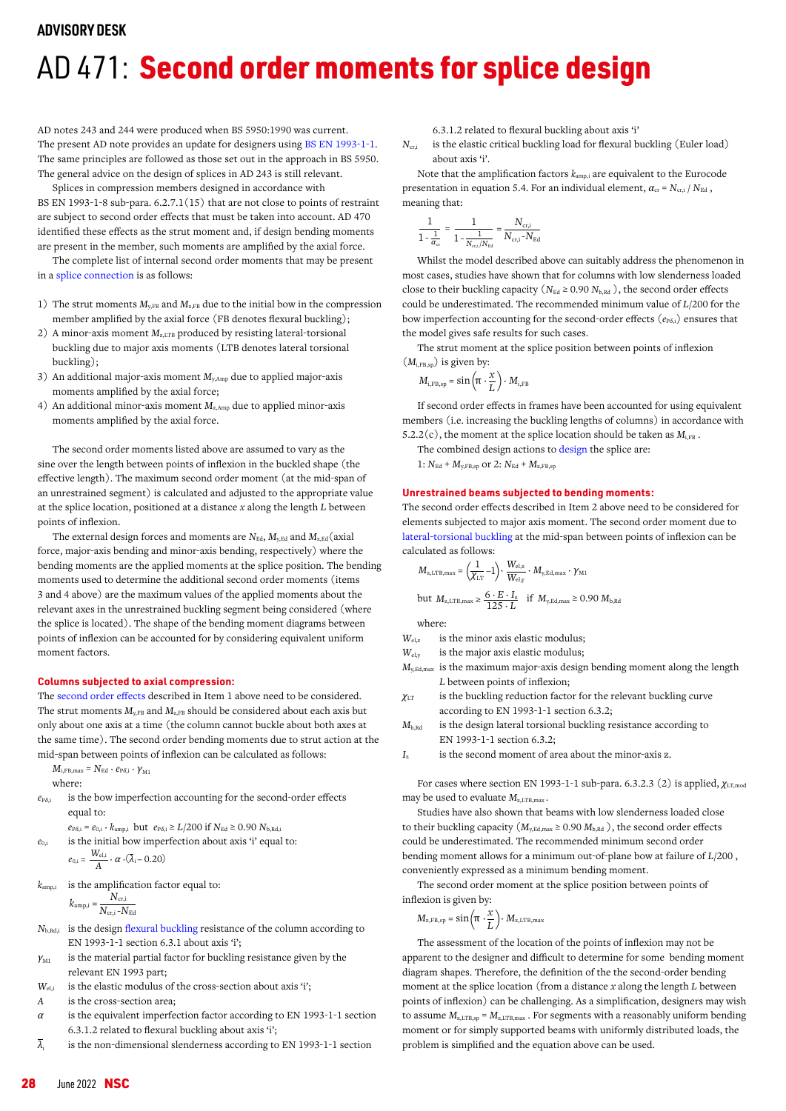## **ADVISORY DESK**

# AD 471: Second order moments for splice design

AD notes 243 and 244 were produced when BS 5950:1990 was current. The present AD note provides an update for designers using [BS EN 1993-1-1](https://www.steelconstruction.info/Design_codes_and_standards#General_rules_and_rules_for_buildings). The same principles are followed as those set out in the approach in BS 5950. The general advice on the design of splices in AD 243 is still relevant.

Splices in compression members designed in accordance with BS EN 1993-1-8 sub-para. 6.2.7.1(15) that are not close to points of restraint are subject to second order effects that must be taken into account. AD 470 identified these effects as the strut moment and, if design bending moments are present in the member, such moments are amplified by the axial force.

The complete list of internal second order moments that may be present in a [splice connection](https://www.steelconstruction.info/Simple_connections#Column_splices) is as follows:

- 1) The strut moments  $M_{\text{v,FB}}$  and  $M_{\text{z,FB}}$  due to the initial bow in the compression member amplified by the axial force (FB denotes flexural buckling);
- A minor-axis moment  $M_{z,\text{LTB}}$  produced by resisting lateral-torsional buckling due to major axis moments (LTB denotes lateral torsional buckling);
- 3) An additional major-axis moment  $M_{y, \text{Amp}}$  due to applied major-axis moments amplified by the axial force;
- 4) An additional minor-axis moment  $M_{z, \text{Amp}}$  due to applied minor-axis moments amplified by the axial force.

The second order moments listed above are assumed to vary as the sine over the length between points of inflexion in the buckled shape (the effective length). The maximum second order moment (at the mid-span of an unrestrained segment) is calculated and adjusted to the appropriate value at the splice location, positioned at a distance *x* along the length *L* between points of inflexion.

The external design forces and moments are  $N_{\text{Ed}}$ ,  $M_{\text{v,Ed}}$  and  $M_{\text{z,Ed}}$  (axial force, major-axis bending and minor-axis bending, respectively) where the bending moments are the applied moments at the splice position. The bending moments used to determine the additional second order moments (items 3 and 4 above) are the maximum values of the applied moments about the relevant axes in the unrestrained buckling segment being considered (where the splice is located). The shape of the bending moment diagrams between points of inflexion can be accounted for by considering equivalent uniform moment factors.

## **Columns subjected to axial compression:**

Th[e second order effects](https://www.steelconstruction.info/Braced_frames#Second_order_effects) described in Item 1 above need to be considered. The strut moments  $M_{\nu,FB}$  and  $M_{\nu,FB}$  should be considered about each axis but only about one axis at a time (the column cannot buckle about both axes at the same time). The second order bending moments due to strut action at the mid-span between points of inflexion can be calculated as follows:

 $M_{\text{i,FB,max}} = N_{\text{Ed}} \cdot e_{\text{P} \delta, \text{i}} \cdot \gamma_{\text{M1}}$ where:

*e*P*<sup>δ</sup>*,i is the bow imperfection accounting for the second-order effects equal to:

 $e_{P\delta,i} = e_{0,i} \cdot k_{\text{amp},i}$  but  $e_{P\delta,i} \ge L/200$  if  $N_{\text{Ed}} \ge 0.90$   $N_{\text{b,Rd},i}$ 

 $e_{0,i}$  is the initial bow imperfection about axis 'i' equal to:

$$
e_{0,i} = \frac{W_{\text{el},i}}{A} \cdot \alpha \cdot (\bar{\lambda}_i - 0.20)
$$

 $k_{\text{amp,i}}$  is the amplification factor equal to:

$$
k_{\rm amp,i} = \frac{N_{\rm cr,i}}{N_{\rm cr,i} - N_{\rm Ed}}
$$

- *N*<sub>b,Rd,i</sub> is the design [flexural buckling r](https://www.steelconstruction.info/Member_design#Flexural_buckling_.28only.29)esistance of the column according to EN 1993-1-1 section 6.3.1 about axis 'i';
- *γ*<sub>M1</sub> is the material partial factor for buckling resistance given by the relevant EN 1993 part;
- *W*<sub>el,i</sub> is the elastic modulus of the cross-section about axis 'i';
- *A* is the cross-section area;
- *α* is the equivalent imperfection factor according to EN 1993-1-1 section 6.3.1.2 related to flexural buckling about axis 'i';
- $\overline{\lambda}_i$  is the non-dimensional slenderness according to EN 1993-1-1 section

6.3.1.2 related to flexural buckling about axis 'i'

*N<sub>cr,i</sub>* is the elastic critical buckling load for flexural buckling (Euler load) about axis 'i'.

Note that the amplification factors  $k_{\text{amp,i}}$  are equivalent to the Eurocode presentation in equation 5.4. For an individual element,  $\alpha_{\rm cr} = N_{\rm cri}/N_{\rm Ed}$ , meaning that:

$$
\frac{1}{1-\frac{1}{\alpha_{\rm cr}}} = \frac{1}{1-\frac{1}{N_{\rm cr,i}/N_{\rm Ed}}} = \frac{N_{\rm cr,i}}{N_{\rm cr,i} \text{--} N_{\rm Ed}}
$$

Whilst the model described above can suitably address the phenomenon in most cases, studies have shown that for columns with low slenderness loaded close to their buckling capacity ( $N_{Ed} \ge 0.90 N_{b, Rd}$ ), the second order effects could be underestimated. The recommended minimum value of *L*/200 for the bow imperfection accounting for the second-order effects ( $e_{P\delta i}$ ) ensures that the model gives safe results for such cases.

The strut moment at the splice position between points of inflexion (*M*i,FB,sp) is given by:

$$
M_{\text{i,FB,sp}} = \sin\left(\pi \cdot \frac{x}{L}\right) \cdot M_{\text{i,FB}}
$$

If second order effects in frames have been accounted for using equivalent members (i.e. increasing the buckling lengths of columns) in accordance with 5.2.2(c), the moment at the splice location should be taken as  $M_{i,FB}$ .

The combined design actions to [design](https://www.steelconstruction.info/Design) the splice are:

 $1: N_{\text{Ed}} + M_{\text{y,FB,sp}}$  or  $2: N_{\text{Ed}} + M_{\text{z,FB,sp}}$ 

## **Unrestrained beams subjected to bending moments:**

The second order effects described in Item 2 above need to be considered for elements subjected to major axis moment. The second order moment due to [lateral-torsional buckling](https://www.steelconstruction.info/Member_design#Lateral_torsional_buckling_resistance) at the mid-span between points of inflexion can be calculated as follows:

$$
M_{\rm z,LTB,max}=\left(\!\frac{1}{\chi_{\rm LT}}\!-\!1\!\right)\!\cdot\frac{W_{\rm el,z}}{W_{\rm el,y}}\cdot M_{\rm y,Ed,max}\cdot\gamma_{\rm M1}
$$

but  $M_{z,\text{LTB,max}} \ge \frac{6 \cdot E \cdot I_z}{125 \cdot L}$  if  $M_{y,\text{Ed,max}} \ge 0.90 M_{b,\text{RG}}$ 

where:

- *W*<sub>elz</sub> is the minor axis elastic modulus;
- *W*el,y is the major axis elastic modulus;
- *M*y,Ed,max is the maximum major-axis design bending moment along the length *L* between points of inflexion;
- *χ*LT is the buckling reduction factor for the relevant buckling curve according to EN 1993-1-1 section 6.3.2;
- $M_{b, Rd}$  is the design lateral torsional buckling resistance according to EN 1993-1-1 section 6.3.2;

*I*<sup>z</sup> is the second moment of area about the minor-axis z.

For cases where section EN 1993-1-1 sub-para. 6.3.2.3 (2) is applied, *χ*LT,mod may be used to evaluate  $M_{\text{z} \text{LTR} \text{max}}$ .

Studies have also shown that beams with low slenderness loaded close to their buckling capacity  $(M_{v,Ed,max} \ge 0.90 M_{b, Rd})$ , the second order effects could be underestimated. The recommended minimum second order bending moment allows for a minimum out-of-plane bow at failure of *L*/200 , conveniently expressed as a minimum bending moment.

The second order moment at the splice position between points of inflexion is given by:

$$
M_{\rm z,FB,sp}=\sin\left(\pi\cdot\frac{x}{L}\right)\cdot\,M_{\rm z,LTB,max}
$$

The assessment of the location of the points of inflexion may not be apparent to the designer and difficult to determine for some bending moment diagram shapes. Therefore, the definition of the the second-order bending moment at the splice location (from a distance *x* along the length *L* between points of inflexion) can be challenging. As a simplification, designers may wish to assume  $M_\mathrm{z,LTB,sp}$  =  $M_\mathrm{z,LTB,max}$  . For segments with a reasonably uniform bending moment or for simply supported beams with uniformly distributed loads, the problem is simplified and the equation above can be used.